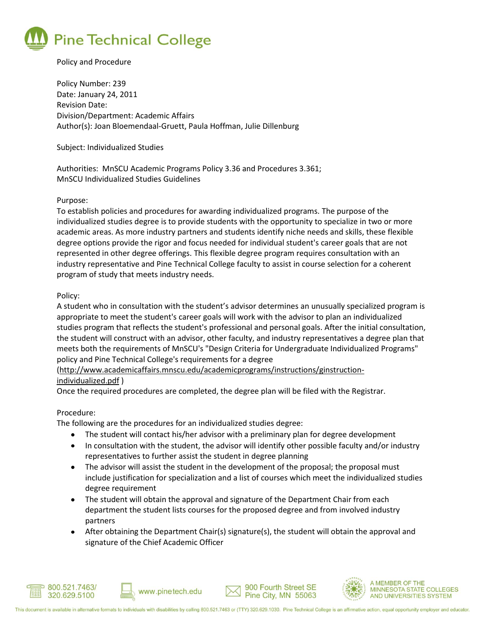

# Policy and Procedure

Policy Number: 239 Date: January 24, 2011 Revision Date: Division/Department: Academic Affairs Author(s): Joan Bloemendaal-Gruett, Paula Hoffman, Julie Dillenburg

#### Subject: Individualized Studies

Authorities: MnSCU Academic Programs Policy 3.36 and Procedures 3.361; MnSCU Individualized Studies Guidelines

## Purpose:

To establish policies and procedures for awarding individualized programs. The purpose of the individualized studies degree is to provide students with the opportunity to specialize in two or more academic areas. As more industry partners and students identify niche needs and skills, these flexible degree options provide the rigor and focus needed for individual student's career goals that are not represented in other degree offerings. This flexible degree program requires consultation with an industry representative and Pine Technical College faculty to assist in course selection for a coherent program of study that meets industry needs.

## Policy:

A student who in consultation with the student's advisor determines an unusually specialized program is appropriate to meet the student's career goals will work with the advisor to plan an individualized studies program that reflects the student's professional and personal goals. After the initial consultation, the student will construct with an advisor, other faculty, and industry representatives a degree plan that meets both the requirements of MnSCU's "Design Criteria for Undergraduate Individualized Programs" policy and Pine Technical College's requirements for a degree

# [\(http://www.academicaffairs.mnscu.edu/academicprograms/instructions/ginstruction](http://www.academicaffairs.mnscu.edu/academicprograms/instructions/ginstruction-individualized.pdf)[individualized.pdf](http://www.academicaffairs.mnscu.edu/academicprograms/instructions/ginstruction-individualized.pdf) )

Once the required procedures are completed, the degree plan will be filed with the Registrar.

#### Procedure:

The following are the procedures for an individualized studies degree:

www.pinetech.edu

- The student will contact his/her advisor with a preliminary plan for degree development  $\bullet$
- $\bullet$ In consultation with the student, the advisor will identify other possible faculty and/or industry representatives to further assist the student in degree planning
- The advisor will assist the student in the development of the proposal; the proposal must include justification for specialization and a list of courses which meet the individualized studies degree requirement
- The student will obtain the approval and signature of the Department Chair from each department the student lists courses for the proposed degree and from involved industry partners
- After obtaining the Department Chair(s) signature(s), the student will obtain the approval and signature of the Chief Academic Officer